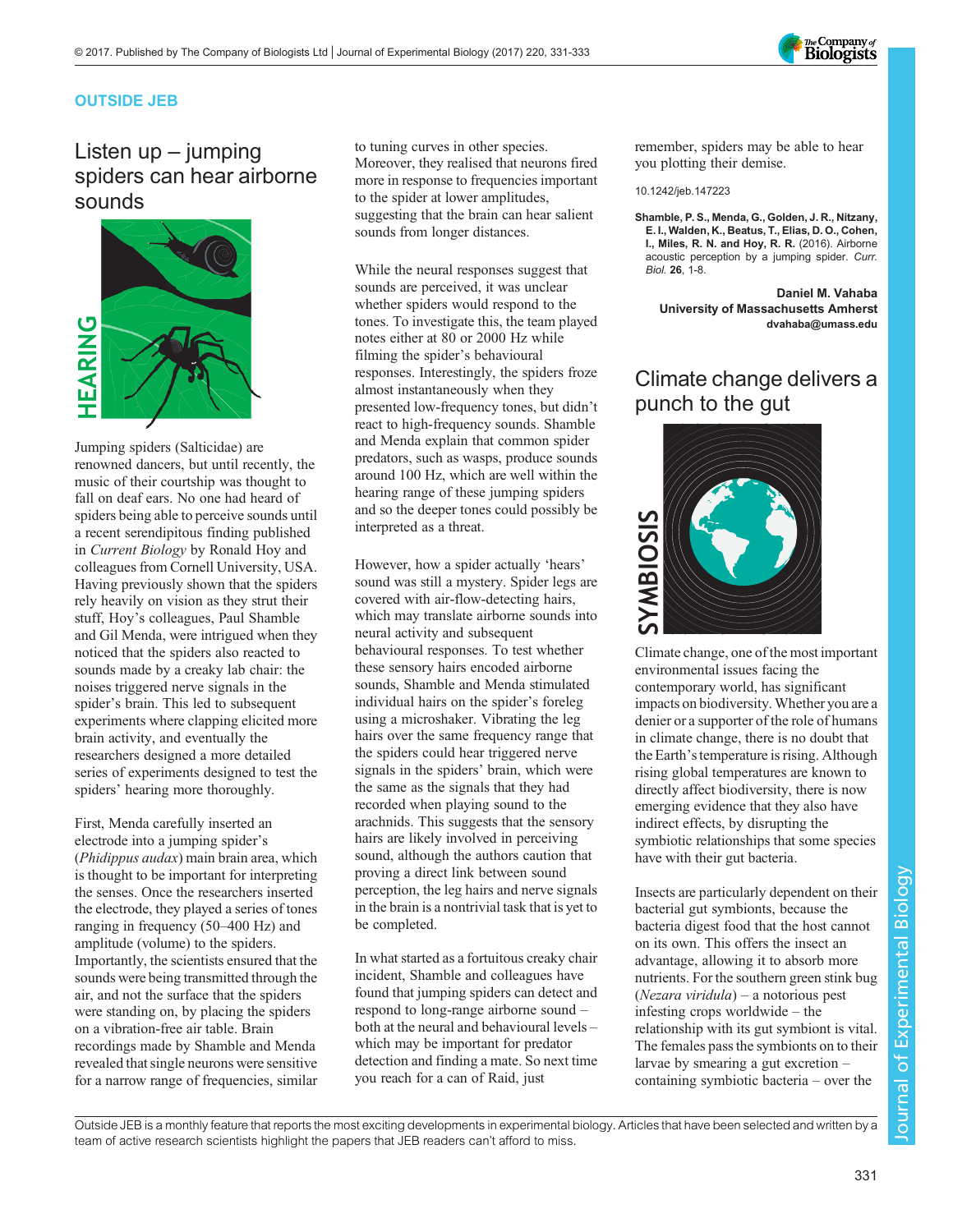

#### OUTSIDE JEB

# Listen up – jumping spiders can hear airborne sounds



Jumping spiders (Salticidae) are renowned dancers, but until recently, the music of their courtship was thought to fall on deaf ears. No one had heard of spiders being able to perceive sounds until a recent serendipitous finding published in Current Biology by Ronald Hoy and colleagues from Cornell University, USA. Having previously shown that the spiders rely heavily on vision as they strut their stuff, Hoy's colleagues, Paul Shamble and Gil Menda, were intrigued when they noticed that the spiders also reacted to sounds made by a creaky lab chair: the noises triggered nerve signals in the spider's brain. This led to subsequent experiments where clapping elicited more brain activity, and eventually the researchers designed a more detailed series of experiments designed to test the spiders' hearing more thoroughly.

First, Menda carefully inserted an electrode into a jumping spider's (Phidippus audax) main brain area, which is thought to be important for interpreting the senses. Once the researchers inserted the electrode, they played a series of tones ranging in frequency (50–400 Hz) and amplitude (volume) to the spiders. Importantly, the scientists ensured that the sounds were being transmitted through the air, and not the surface that the spiders were standing on, by placing the spiders on a vibration-free air table. Brain recordings made by Shamble and Menda revealed that single neurons were sensitive for a narrow range of frequencies, similar

to tuning curves in other species. Moreover, they realised that neurons fired more in response to frequencies important to the spider at lower amplitudes, suggesting that the brain can hear salient sounds from longer distances.

While the neural responses suggest that sounds are perceived, it was unclear whether spiders would respond to the tones. To investigate this, the team played notes either at 80 or 2000 Hz while filming the spider's behavioural responses. Interestingly, the spiders froze almost instantaneously when they presented low-frequency tones, but didn't react to high-frequency sounds. Shamble and Menda explain that common spider predators, such as wasps, produce sounds around 100 Hz, which are well within the hearing range of these jumping spiders and so the deeper tones could possibly be interpreted as a threat.

However, how a spider actually 'hears' sound was still a mystery. Spider legs are covered with air-flow-detecting hairs, which may translate airborne sounds into neural activity and subsequent behavioural responses. To test whether these sensory hairs encoded airborne sounds, Shamble and Menda stimulated individual hairs on the spider's foreleg using a microshaker. Vibrating the leg hairs over the same frequency range that the spiders could hear triggered nerve signals in the spiders' brain, which were the same as the signals that they had recorded when playing sound to the arachnids. This suggests that the sensory hairs are likely involved in perceiving sound, although the authors caution that proving a direct link between sound perception, the leg hairs and nerve signals in the brain is a nontrivial task that is yet to be completed.

In what started as a fortuitous creaky chair incident, Shamble and colleagues have found that jumping spiders can detect and respond to long-range airborne sound – both at the neural and behavioural levels – which may be important for predator detection and finding a mate. So next time you reach for a can of Raid, just

remember, spiders may be able to hear you plotting their demise.

#### 10.1242/jeb.147223

[Shamble, P. S., Menda, G., Golden, J. R., Nitzany,](http://dx.doi.org/10.1016/j.cub.2016.08.041) [E. I., Walden, K., Beatus, T., Elias, D. O., Cohen,](http://dx.doi.org/10.1016/j.cub.2016.08.041) [I., Miles, R. N. and Hoy, R. R.](http://dx.doi.org/10.1016/j.cub.2016.08.041) (2016). Airborne [acoustic perception by a jumping spider.](http://dx.doi.org/10.1016/j.cub.2016.08.041) Curr. Biol. <sup>26</sup>[, 1-8](http://dx.doi.org/10.1016/j.cub.2016.08.041).

> Daniel M. Vahaba University of Massachusetts Amherst [dvahaba@umass.edu](mailto:dvahaba@umass.edu)

### Climate change delivers a punch to the gut



Climate change, one of the most important environmental issues facing the contemporary world, has significant impacts on biodiversity.Whether you are a denier or a supporter of the role of humans in climate change, there is no doubt that the Earth's temperature is rising. Although rising global temperatures are known to directly affect biodiversity, there is now emerging evidence that they also have indirect effects, by disrupting the symbiotic relationships that some species have with their gut bacteria.

Insects are particularly dependent on their bacterial gut symbionts, because the bacteria digest food that the host cannot on its own. This offers the insect an advantage, allowing it to absorb more nutrients. For the southern green stink bug  $(Nezara viridula)$  – a notorious pest infesting crops worldwide – the relationship with its gut symbiont is vital. The females pass the symbionts on to their larvae by smearing a gut excretion – containing symbiotic bacteria – over the

Outside JEB is a monthly feature that reports the most exciting developments in experimental biology. Articles that have been selected and written by a team of active research scientists highlight the papers that JEB readers can't afford to miss.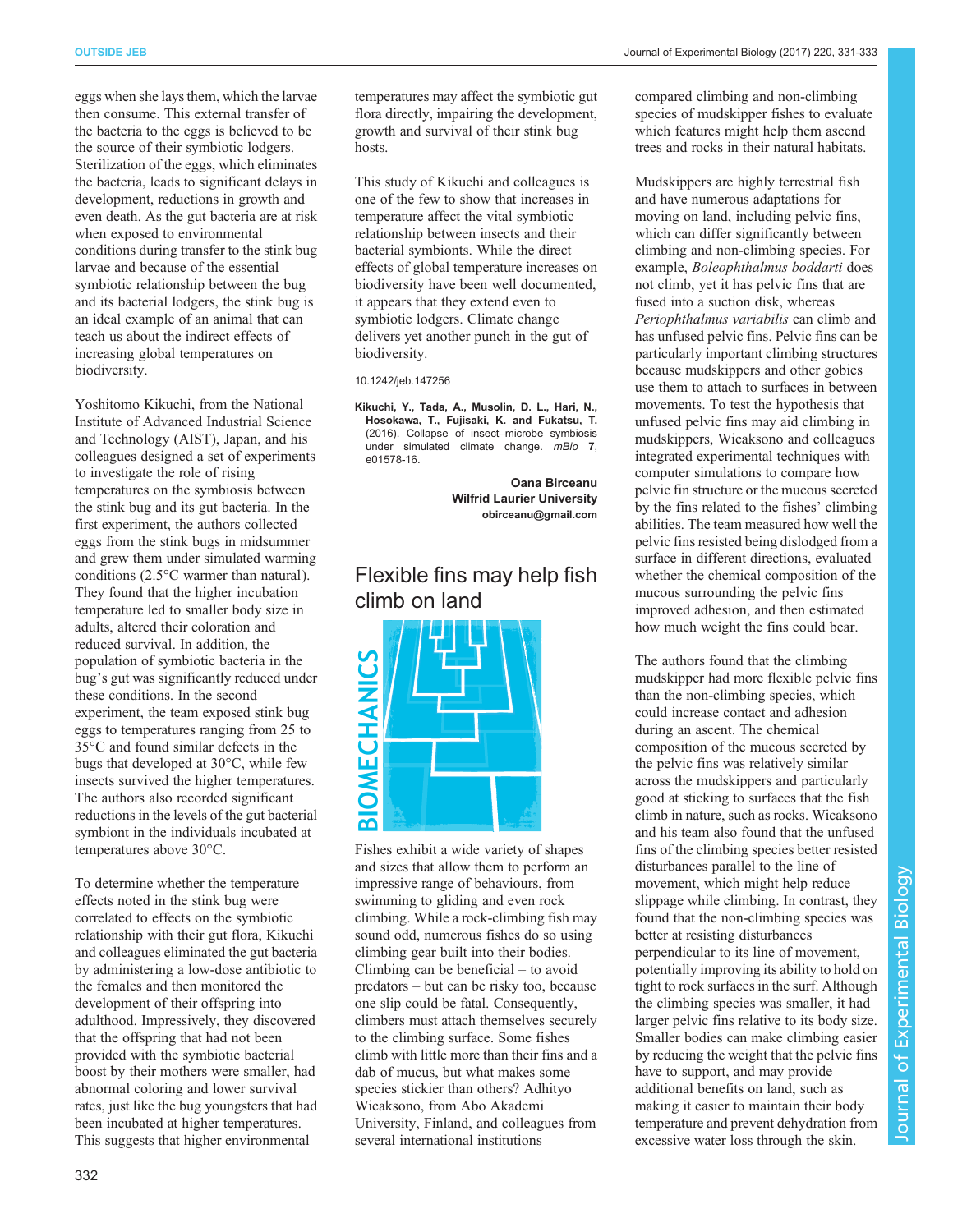OUTSIDE JEB Journal of Experimental Biology (2017) 220, 331-333

eggs when she lays them, which the larvae then consume. This external transfer of the bacteria to the eggs is believed to be the source of their symbiotic lodgers. Sterilization of the eggs, which eliminates the bacteria, leads to significant delays in development, reductions in growth and even death. As the gut bacteria are at risk when exposed to environmental conditions during transfer to the stink bug larvae and because of the essential symbiotic relationship between the bug and its bacterial lodgers, the stink bug is an ideal example of an animal that can teach us about the indirect effects of increasing global temperatures on biodiversity.

Yoshitomo Kikuchi, from the National Institute of Advanced Industrial Science and Technology (AIST), Japan, and his colleagues designed a set of experiments to investigate the role of rising temperatures on the symbiosis between the stink bug and its gut bacteria. In the first experiment, the authors collected eggs from the stink bugs in midsummer and grew them under simulated warming conditions (2.5°C warmer than natural). They found that the higher incubation temperature led to smaller body size in adults, altered their coloration and reduced survival. In addition, the population of symbiotic bacteria in the bug's gut was significantly reduced under these conditions. In the second experiment, the team exposed stink bug eggs to temperatures ranging from 25 to 35°C and found similar defects in the bugs that developed at 30°C, while few insects survived the higher temperatures. The authors also recorded significant reductions in the levels of the gut bacterial symbiont in the individuals incubated at temperatures above 30°C.

To determine whether the temperature effects noted in the stink bug were correlated to effects on the symbiotic relationship with their gut flora, Kikuchi and colleagues eliminated the gut bacteria by administering a low-dose antibiotic to the females and then monitored the development of their offspring into adulthood. Impressively, they discovered that the offspring that had not been provided with the symbiotic bacterial boost by their mothers were smaller, had abnormal coloring and lower survival rates, just like the bug youngsters that had been incubated at higher temperatures. This suggests that higher environmental

temperatures may affect the symbiotic gut flora directly, impairing the development, growth and survival of their stink bug hosts.

This study of Kikuchi and colleagues is one of the few to show that increases in temperature affect the vital symbiotic relationship between insects and their bacterial symbionts. While the direct effects of global temperature increases on biodiversity have been well documented, it appears that they extend even to symbiotic lodgers. Climate change delivers yet another punch in the gut of biodiversity.

10.1242/jeb.147256

[Kikuchi, Y., Tada, A., Musolin, D. L., Hari, N.,](http://dx.doi.org/10.1128/mBio.01578-16) [Hosokawa, T., Fujisaki, K. and Fukatsu, T.](http://dx.doi.org/10.1128/mBio.01578-16) [\(2016\). Collapse of insect](http://dx.doi.org/10.1128/mBio.01578-16)–microbe symbiosis [under simulated climate change.](http://dx.doi.org/10.1128/mBio.01578-16) mBio <sup>7</sup>, [e01578-16.](http://dx.doi.org/10.1128/mBio.01578-16)

> Oana Birceanu Wilfrid Laurier University [obirceanu@gmail.com](mailto:obirceanu@gmail.com)

# Flexible fins may help fish climb on land



Fishes exhibit a wide variety of shapes and sizes that allow them to perform an impressive range of behaviours, from swimming to gliding and even rock climbing. While a rock-climbing fish may sound odd, numerous fishes do so using climbing gear built into their bodies. Climbing can be beneficial – to avoid predators – but can be risky too, because one slip could be fatal. Consequently, climbers must attach themselves securely to the climbing surface. Some fishes climb with little more than their fins and a dab of mucus, but what makes some species stickier than others? Adhityo Wicaksono, from Abo Akademi University, Finland, and colleagues from several international institutions

compared climbing and non-climbing species of mudskipper fishes to evaluate which features might help them ascend trees and rocks in their natural habitats.

Mudskippers are highly terrestrial fish and have numerous adaptations for moving on land, including pelvic fins, which can differ significantly between climbing and non-climbing species. For example, Boleophthalmus boddarti does not climb, yet it has pelvic fins that are fused into a suction disk, whereas Periophthalmus variabilis can climb and has unfused pelvic fins. Pelvic fins can be particularly important climbing structures because mudskippers and other gobies use them to attach to surfaces in between movements. To test the hypothesis that unfused pelvic fins may aid climbing in mudskippers, Wicaksono and colleagues integrated experimental techniques with computer simulations to compare how pelvic fin structure or the mucous secreted by the fins related to the fishes' climbing abilities. The team measured how well the pelvic fins resisted being dislodged from a surface in different directions, evaluated whether the chemical composition of the mucous surrounding the pelvic fins improved adhesion, and then estimated how much weight the fins could bear.

The authors found that the climbing mudskipper had more flexible pelvic fins than the non-climbing species, which could increase contact and adhesion during an ascent. The chemical composition of the mucous secreted by the pelvic fins was relatively similar across the mudskippers and particularly good at sticking to surfaces that the fish climb in nature, such as rocks. Wicaksono and his team also found that the unfused fins of the climbing species better resisted disturbances parallel to the line of movement, which might help reduce slippage while climbing. In contrast, they found that the non-climbing species was better at resisting disturbances perpendicular to its line of movement, potentially improving its ability to hold on tight to rock surfaces in the surf. Although the climbing species was smaller, it had larger pelvic fins relative to its body size. Smaller bodies can make climbing easier by reducing the weight that the pelvic fins have to support, and may provide additional benefits on land, such as making it easier to maintain their body temperature and prevent dehydration from excessive water loss through the skin.